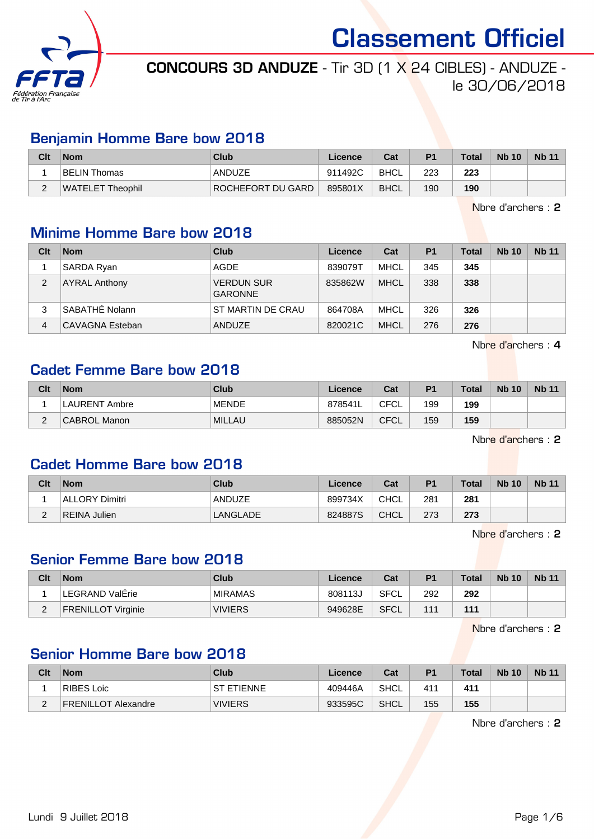

# CONCOURS 3D ANDUZE - Tir 3D (1 X 24 CIBLES) - ANDUZE le 30/06/2018

#### Benjamin Homme Bare bow 2018

| Clt | <b>Nom</b>       | Club              | Licence | Cat         | P <sub>1</sub> | <b>Total</b> | <b>Nb 10</b> | <b>Nb 11</b> |
|-----|------------------|-------------------|---------|-------------|----------------|--------------|--------------|--------------|
|     | BELIN Thomas     | ANDUZE            | 911492C | BHCL        | 223            | 223          |              |              |
| -   | WATELET Theophil | ROCHEFORT DU GARD | 895801X | <b>BHCL</b> | 190            | 190          |              |              |

Nbre d'archers : 2

#### Minime Homme Bare bow 2018

| Clt | <b>Nom</b>           | Club                                | Licence | Cat         | P <sub>1</sub> | Total | <b>Nb 10</b> | <b>Nb 11</b> |
|-----|----------------------|-------------------------------------|---------|-------------|----------------|-------|--------------|--------------|
|     | SARDA Ryan           | AGDE                                | 839079T | MHCL        | 345            | 345   |              |              |
| 2   | <b>AYRAL Anthony</b> | <b>VERDUN SUR</b><br><b>GARONNE</b> | 835862W | <b>MHCL</b> | 338            | 338   |              |              |
| 3   | SABATHE Nolann       | ST MARTIN DE CRAU                   | 864708A | <b>MHCL</b> | 326            | 326   |              |              |
| 4   | CAVAGNA Esteban      | <b>ANDUZE</b>                       | 820021C | <b>MHCL</b> | 276            | 276   |              |              |

Nbre d'archers : 4

### Cadet Femme Bare bow 2018

| Clt      | <b>Nom</b>           | Club          | Licence | Cat  | P <sub>1</sub> | <b>Total</b> | <b>Nb 10</b> | <b>Nb 11</b> |
|----------|----------------------|---------------|---------|------|----------------|--------------|--------------|--------------|
|          | <b>LAURENT Ambre</b> | <b>MENDE</b>  | 878541L | CFCL | 199            | 199          |              |              |
| <u>_</u> | CABROL Manon         | <b>MILLAU</b> | 885052N | CFCL | 159            | 159          |              |              |

Nbre d'archers : 2

#### Cadet Homme Bare bow 2018

| Clt      | <b>Nom</b>     | Club     | Licence | Cat         | P <sub>1</sub> | <b>Total</b> | <b>Nb 10</b> | <b>Nb 11</b> |
|----------|----------------|----------|---------|-------------|----------------|--------------|--------------|--------------|
|          | ALLORY Dimitri | ANDUZE   | 899734X | CHCL        | 281            | 281          |              |              |
| <u>_</u> | REINA Julien   | LANGLADE | 824887S | <b>CHCL</b> | 273            | 273          |              |              |

Nbre d'archers : 2

#### Senior Femme Bare bow 2018

| Clt | <b>Nom</b>                | Club           | Licence | Cat  | P1  | Total | <b>Nb 10</b> | <b>Nb 11</b> |
|-----|---------------------------|----------------|---------|------|-----|-------|--------------|--------------|
|     | LEGRAND ValErie           | <b>MIRAMAS</b> | 808113J | SFCL | 292 | 292   |              |              |
| ົ   | <b>FRENILLOT Virginie</b> | <b>VIVIERS</b> | 949628E | SFCL | 111 | 111   |              |              |

Nbre d'archers : 2

## Senior Homme Bare bow 2018

| Clt                | <b>Nom</b>                 | Club              | Licence | Cat  | P <sub>1</sub> | <b>Total</b> | <b>Nb 10</b> | <b>Nb 11</b> |
|--------------------|----------------------------|-------------------|---------|------|----------------|--------------|--------------|--------------|
|                    | RIBES Loic                 | <b>ST ETIENNE</b> | 409446A | SHCL | 411            | 411          |              |              |
| $\sim$<br><u>_</u> | <b>FRENILLOT Alexandre</b> | <b>VIVIERS</b>    | 933595C | SHCL | 155            | 155          |              |              |

Nbre d'archers : 2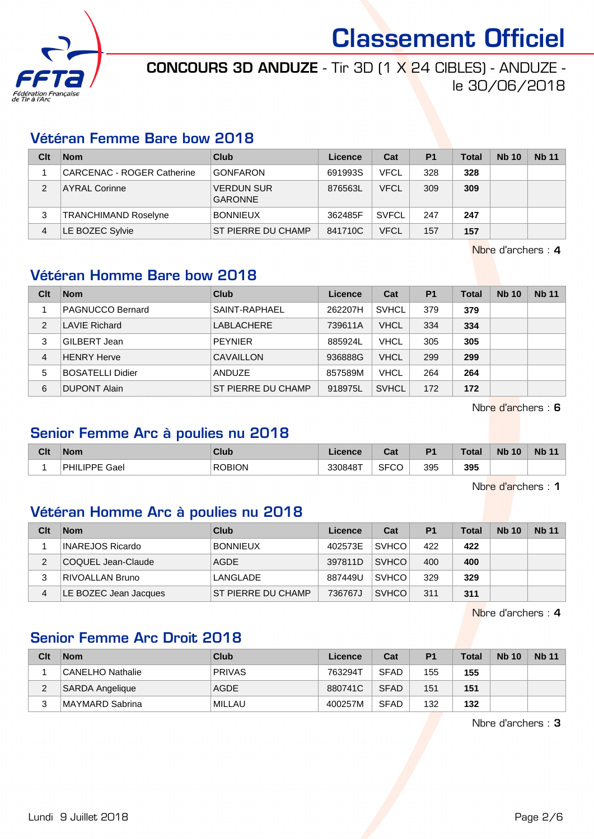

# CONCOURS 3D ANDUZE - Tir 3D (1 X 24 CIBLES) - ANDUZE le 30/06/2018

#### Vétéran Femme Bare bow 2018

| Clt           | <b>Nom</b>                        | Club                                | Licence | Cat          | P <sub>1</sub> | <b>Total</b> | <b>Nb 10</b> | <b>Nb 11</b> |
|---------------|-----------------------------------|-------------------------------------|---------|--------------|----------------|--------------|--------------|--------------|
|               | <b>CARCENAC - ROGER Catherine</b> | <b>GONFARON</b>                     | 691993S | <b>VFCL</b>  | 328            | 328          |              |              |
| $\mathcal{P}$ | <b>AYRAL Corinne</b>              | <b>VERDUN SUR</b><br><b>GARONNE</b> | 876563L | <b>VFCL</b>  | 309            | 309          |              |              |
| 3             | <b>TRANCHIMAND Roselyne</b>       | <b>BONNIEUX</b>                     | 362485F | <b>SVFCL</b> | 247            | 247          |              |              |
| 4             | LE BOZEC Sylvie                   | ST PIERRE DU CHAMP                  | 841710C | <b>VFCL</b>  | 157            | 157          |              |              |

Nbre d'archers : 4

### Vétéran Homme Bare bow 2018

| Clt | <b>Nom</b>              | Club               | Licence | Cat          | <b>P1</b> | <b>Total</b> | <b>Nb 10</b> | <b>Nb 11</b> |
|-----|-------------------------|--------------------|---------|--------------|-----------|--------------|--------------|--------------|
|     | PAGNUCCO Bernard        | SAINT-RAPHAEL      | 262207H | <b>SVHCL</b> | 379       | 379          |              |              |
| 2   | <b>LAVIE Richard</b>    | LABLACHERE         | 739611A | <b>VHCL</b>  | 334       | 334          |              |              |
| 3   | ⊦GILBERT Jean           | <b>PEYNIER</b>     | 885924L | <b>VHCL</b>  | 305       | 305          |              |              |
| 4   | <b>HENRY Herve</b>      | CAVAILLON          | 936888G | <b>VHCL</b>  | 299       | 299          |              |              |
| 5   | <b>BOSATELLI Didier</b> | ANDUZE             | 857589M | <b>VHCL</b>  | 264       | 264          |              |              |
| 6   | <b>DUPONT Alain</b>     | ST PIERRE DU CHAMP | 918975L | <b>SVHCL</b> | 172       | 172          |              |              |

Nbre d'archers : 6

#### Senior Femme Arc à poulies nu 2018

| Clt | <b>Nom</b>                   | Club          | Licence | $R_{\rm eff}$<br>ual | D <sub>1</sub> | Total | <b>N<sub>b</sub></b><br>10 | <b>Nb 11</b> |
|-----|------------------------------|---------------|---------|----------------------|----------------|-------|----------------------------|--------------|
|     | `Gaer<br>PHII<br><b>IDDE</b> | <b>ROBION</b> | 330848T | <b>SFCC</b>          | 395            | 395   |                            |              |

Nbre d'archers : 1

# Vétéran Homme Arc à poulies nu 2018

| Clt | <b>Nom</b>              | Club               | Licence | Cat          | P <sub>1</sub> | Total | <b>Nb 10</b> | <b>Nb 11</b> |
|-----|-------------------------|--------------------|---------|--------------|----------------|-------|--------------|--------------|
|     | <b>INAREJOS Ricardo</b> | <b>BONNIEUX</b>    | 402573E | <b>SVHCO</b> | 422            | 422   |              |              |
| 2   | COQUEL Jean-Claude      | AGDE               | 397811D | <b>SVHCO</b> | 400            | 400   |              |              |
|     | <b>RIVOALLAN Bruno</b>  | LANGLADE           | 887449U | <b>SVHCO</b> | 329            | 329   |              |              |
| 4   | LE BOZEC Jean Jacques   | ST PIERRE DU CHAMP | 736767J | <b>SVHCO</b> | 311            | 311   |              |              |

Nbre d'archers : 4

# Senior Femme Arc Droit 2018

| Clt    | <b>Nom</b>             | Club          | Licence | Cat         | P <sub>1</sub> | Total | <b>Nb 10</b> | <b>Nb 11</b> |
|--------|------------------------|---------------|---------|-------------|----------------|-------|--------------|--------------|
|        | CANELHO Nathalie       | <b>PRIVAS</b> | 763294T | <b>SFAD</b> | 155            | 155   |              |              |
| c<br>∠ | <b>SARDA Angelique</b> | <b>AGDE</b>   | 880741C | <b>SFAD</b> | 151            | 151   |              |              |
|        | MAYMARD Sabrina        | MILLAU        | 400257M | <b>SFAD</b> | 132            | 132   |              |              |

Nbre d'archers : 3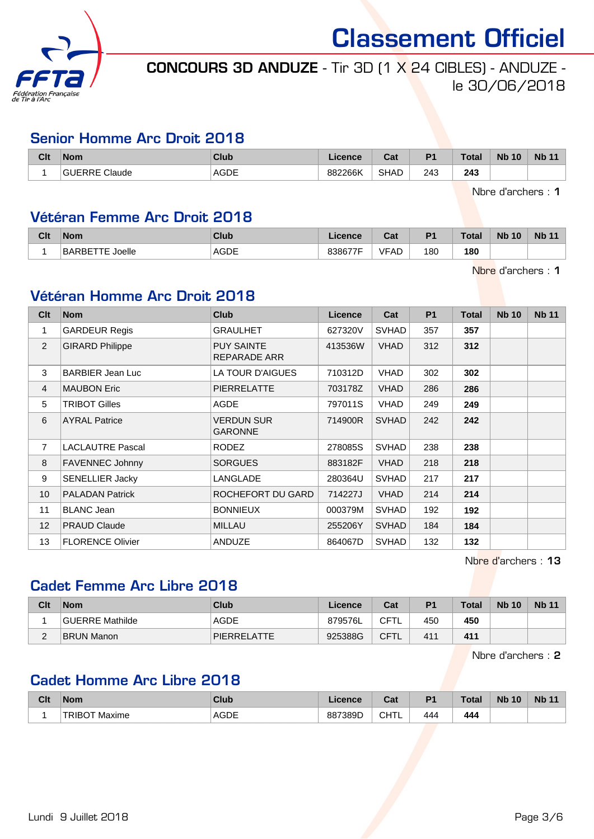

# CONCOURS 3D ANDUZE - Tir 3D (1 X 24 CIBLES) - ANDUZE le 30/06/2018

#### Senior Homme Arc Droit 2018

| Clt | <b>Nom</b> | Club        | noner<br>ᄓᆡᇅ | <b>Column</b><br>uai | D <sub>1</sub> | <b>Total</b>  | <b>Nb</b><br>10 | <b>Nb</b> |
|-----|------------|-------------|--------------|----------------------|----------------|---------------|-----------------|-----------|
|     | Claude     | <b>AGDE</b> | 882266K      | <b>SHAD</b>          | 243<br>$\sim$  | 243<br>$\sim$ |                 |           |

Nbre d'archers : 1

#### Vétéran Femme Arc Droit 2018

| Clt | <b>Nom</b>           | Club         | .icence | ◠fi<br>val | P <sub>1</sub> | <b>Total</b> | <b>Nb</b><br>10 | Nb <sub>1</sub> |
|-----|----------------------|--------------|---------|------------|----------------|--------------|-----------------|-----------------|
|     | 'oelle<br>BAR<br>≀B⊩ | AGDE<br>____ | 838677F | VFAD       | 180            | 180          |                 |                 |

Nbre d'archers : 1

#### Vétéran Homme Arc Droit 2018

| Clt            | <b>Nom</b>              | <b>Club</b>                       | Licence | Cat          | P <sub>1</sub> | Total | <b>Nb 10</b> | <b>Nb 11</b> |
|----------------|-------------------------|-----------------------------------|---------|--------------|----------------|-------|--------------|--------------|
| 1              | <b>GARDEUR Regis</b>    | <b>GRAULHET</b>                   | 627320V | <b>SVHAD</b> | 357            | 357   |              |              |
| 2              | <b>GIRARD Philippe</b>  | <b>PUY SAINTE</b><br>REPARADE ARR | 413536W | <b>VHAD</b>  | 312            | 312   |              |              |
| 3              | <b>BARBIER Jean Luc</b> | LA TOUR D'AIGUES                  | 710312D | <b>VHAD</b>  | 302            | 302   |              |              |
| 4              | <b>MAUBON Eric</b>      | PIERRELATTE                       | 703178Z | <b>VHAD</b>  | 286            | 286   |              |              |
| 5              | <b>TRIBOT Gilles</b>    | <b>AGDE</b>                       | 797011S | <b>VHAD</b>  | 249            | 249   |              |              |
| 6              | <b>AYRAL Patrice</b>    | VERDUN SUR<br><b>GARONNE</b>      | 714900R | <b>SVHAD</b> | 242            | 242   |              |              |
| $\overline{7}$ | <b>LACLAUTRE Pascal</b> | RODEZ                             | 278085S | <b>SVHAD</b> | 238            | 238   |              |              |
| 8              | <b>FAVENNEC Johnny</b>  | <b>SORGUES</b>                    | 883182F | <b>VHAD</b>  | 218            | 218   |              |              |
| 9              | <b>SENELLIER Jacky</b>  | LANGLADE                          | 280364U | <b>SVHAD</b> | 217            | 217   |              |              |
| 10             | <b>PALADAN Patrick</b>  | ROCHEFORT DU GARD                 | 714227J | <b>VHAD</b>  | 214            | 214   |              |              |
| 11             | <b>BLANC Jean</b>       | <b>BONNIEUX</b>                   | 000379M | <b>SVHAD</b> | 192            | 192   |              |              |
| 12             | <b>PRAUD Claude</b>     | <b>MILLAU</b>                     | 255206Y | <b>SVHAD</b> | 184            | 184   |              |              |
| 13             | <b>FLORENCE Olivier</b> | ANDUZE                            | 864067D | <b>SVHAD</b> | 132            | 132   |              |              |

Nbre d'archers : 13

# Cadet Femme Arc Libre 2018

| Clt         | <b>Nom</b>        | Club        | Licence | Cat         | <b>P1</b> | <b>Total</b> | <b>Nb 10</b> | <b>Nb 11</b> |
|-------------|-------------------|-------------|---------|-------------|-----------|--------------|--------------|--------------|
|             | GUERRE Mathilde   | AGDE        | 879576L | <b>CFTL</b> | 450       | 450          |              |              |
| $\sim$<br>▃ | <b>BRUN Manon</b> | PIERRELATTE | 925388G | <b>CFTL</b> | 411       | 411          |              |              |

Nbre d'archers : 2

# Cadet Homme Arc Libre 2018

| Clt | <b>Nom</b>      | Club        | icence  | ่ ี่ ี่ ่า ่<br>va. | D <sub>1</sub> | T <sub>0</sub><br>otal | <b>Nb</b><br>10 | <b>Nb 11</b> |
|-----|-----------------|-------------|---------|---------------------|----------------|------------------------|-----------------|--------------|
|     | Maxime<br>1 H ( | <b>AGDE</b> | 887389D | CHTL                | 444            | 444                    |                 |              |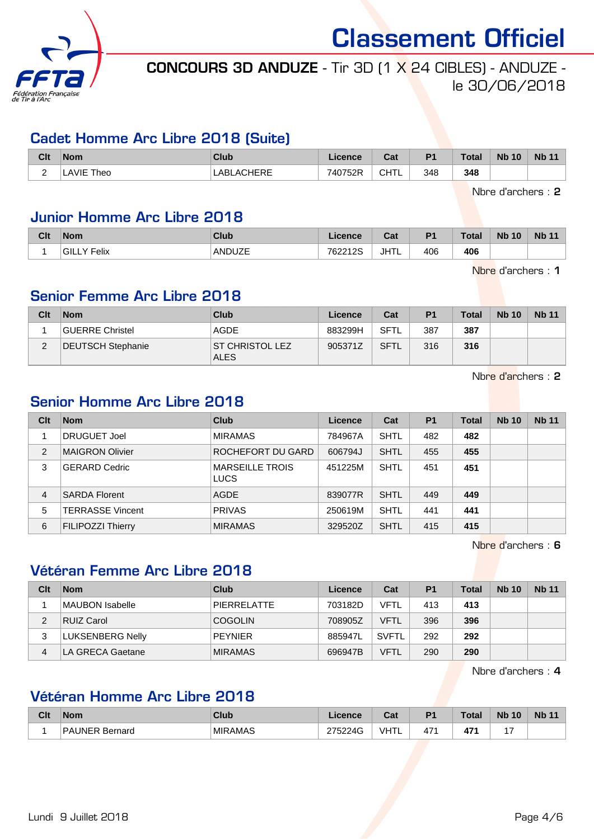

# CONCOURS 3D ANDUZE - Tir 3D (1 X 24 CIBLES) - ANDUZE le 30/06/2018

#### Cadet Homme Arc Libre 2018 (Suite)

| Clt | <b>Nom</b>   | Club              | Licence | Cat         | D <sub>1</sub> | <b>Total</b> | <b>Nb 10</b> | <b>N<sub>b</sub></b> |
|-----|--------------|-------------------|---------|-------------|----------------|--------------|--------------|----------------------|
|     | AVIE<br>Theo | <b>LABLACHERE</b> | 740752R | <b>CHTL</b> | 348            | 348          |              |                      |

Nbre d'archers : 2

## Junior Homme Arc Libre 2018

| Clt | <b>Nom</b>                   | Club   | Licence | $\sim$<br>udl | P <sub>1</sub> | <b>Total</b> | <b>N<sub>b</sub></b><br>10 | <b>Nb 11</b> |
|-----|------------------------------|--------|---------|---------------|----------------|--------------|----------------------------|--------------|
|     | <sup>:</sup> Felix<br>'GILLY | ANDUZE | 762212S | <b>JHTL</b>   | 406            | 406          |                            |              |

Nbre d'archers : 1

#### Senior Femme Arc Libre 2018

| Clt | <b>Nom</b>        | Club                            | Licence | Cat         | P <sub>1</sub> | <b>Total</b> | <b>Nb 10</b> | <b>Nb 11</b> |
|-----|-------------------|---------------------------------|---------|-------------|----------------|--------------|--------------|--------------|
|     | GUERRE Christel   | AGDE                            | 883299H | <b>SFTL</b> | 387            | 387          |              |              |
| ົ   | DEUTSCH Stephanie | IST CHRISTOL LEZ<br><b>ALES</b> | 905371Z | SFTL        | 316            | 316          |              |              |

Nbre d'archers : 2

### Senior Homme Arc Libre 2018

| Clt            | <b>Nom</b>              | <b>Club</b>                           | Licence | Cat         | <b>P1</b> | <b>Total</b> | <b>Nb 10</b> | <b>Nb 11</b> |
|----------------|-------------------------|---------------------------------------|---------|-------------|-----------|--------------|--------------|--------------|
|                | <b>DRUGUET Joel</b>     | <b>MIRAMAS</b>                        | 784967A | SHTL        | 482       | 482          |              |              |
| $\overline{2}$ | MAIGRON Olivier         | ROCHEFORT DU GARD                     | 606794J | SHTL        | 455       | 455          |              |              |
| 3              | <b>GERARD Cedric</b>    | <b>MARSEILLE TROIS</b><br><b>LUCS</b> | 451225M | <b>SHTL</b> | 451       | 451          |              |              |
| 4              | <b>SARDA Florent</b>    | <b>AGDE</b>                           | 839077R | SHTL        | 449       | 449          |              |              |
| 5              | <b>TERRASSE Vincent</b> | <b>PRIVAS</b>                         | 250619M | <b>SHTL</b> | 441       | 441          |              |              |
| 6              | FILIPOZZI Thierry       | <b>MIRAMAS</b>                        | 329520Z | SHTL        | 415       | 415          |              |              |

Nbre d'archers : 6

#### Vétéran Femme Arc Libre 2018

| Clt | <b>Nom</b>       | Club           | Licence | Cat          | <b>P1</b> | Total | <b>Nb 10</b> | <b>Nb 11</b> |
|-----|------------------|----------------|---------|--------------|-----------|-------|--------------|--------------|
|     | MAUBON Isabelle  | PIERRELATTE    | 703182D | VFTL         | 413       | 413   |              |              |
| 2   | RUIZ Carol       | <b>COGOLIN</b> | 708905Z | VFTL         | 396       | 396   |              |              |
| 3   | LUKSENBERG Nelly | <b>PEYNIER</b> | 885947L | <b>SVFTL</b> | 292       | 292   |              |              |
| 4   | LA GRECA Gaetane | <b>MIRAMAS</b> | 696947B | VFTL         | 290       | 290   |              |              |

Nbre d'archers : 4

#### Vétéran Homme Arc Libre 2018

| Clt | <b>Nom</b>                    | Club           | Licence                      | $R_{\rm{min}}$<br>val | D <sub>4</sub> | <b>Total</b> | <b>N<sub>b</sub></b><br>10 | <b>Nb</b><br>- |
|-----|-------------------------------|----------------|------------------------------|-----------------------|----------------|--------------|----------------------------|----------------|
|     | D A<br><b>UNER</b><br>Bernard | <b>MIRAMAS</b> | 275224G<br>-47<br>◡<br>ےں اے | I <sub>1</sub><br>ᄁᆘᄔ | 47'            | 47'<br>      | . .                        |                |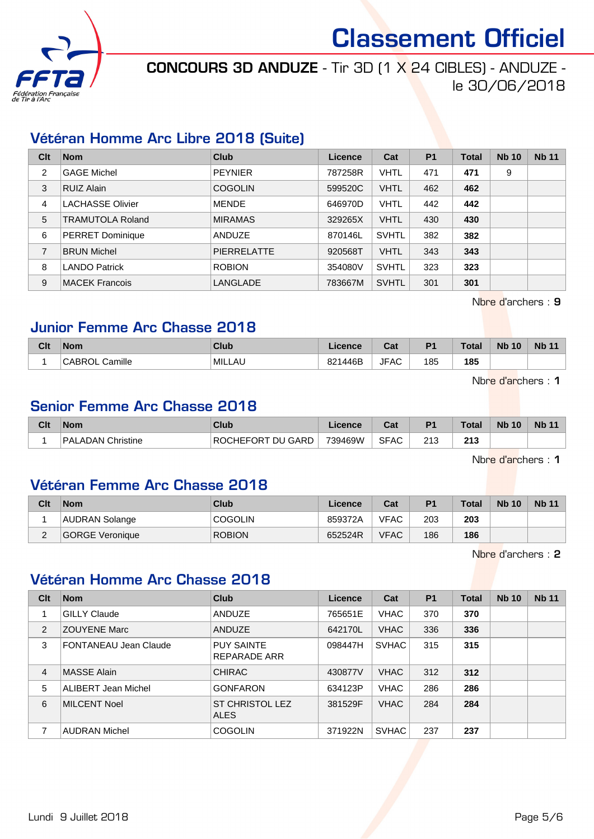

# CONCOURS 3D ANDUZE - Tir 3D (1 X 24 CIBLES) - ANDUZE -

# le 30/06/2018

#### Vétéran Homme Arc Libre 2018 (Suite)

| Clt            | <b>Nom</b>              | <b>Club</b>        | Licence | Cat          | <b>P1</b> | <b>Total</b> | <b>Nb 10</b> | <b>Nb 11</b> |
|----------------|-------------------------|--------------------|---------|--------------|-----------|--------------|--------------|--------------|
| 2              | <b>GAGE Michel</b>      | <b>PEYNIER</b>     | 787258R | <b>VHTL</b>  | 471       | 471          | 9            |              |
| 3              | RUIZ Alain              | <b>COGOLIN</b>     | 599520C | <b>VHTL</b>  | 462       | 462          |              |              |
| 4              | <b>LACHASSE Olivier</b> | <b>MENDE</b>       | 646970D | <b>VHTL</b>  | 442       | 442          |              |              |
| 5              | <b>TRAMUTOLA Roland</b> | <b>MIRAMAS</b>     | 329265X | <b>VHTL</b>  | 430       | 430          |              |              |
| 6              | <b>PERRET Dominique</b> | <b>ANDUZE</b>      | 870146L | <b>SVHTL</b> | 382       | 382          |              |              |
| $\overline{7}$ | <b>BRUN Michel</b>      | <b>PIERRELATTE</b> | 920568T | <b>VHTL</b>  | 343       | 343          |              |              |
| 8              | <b>LANDO Patrick</b>    | <b>ROBION</b>      | 354080V | <b>SVHTL</b> | 323       | 323          |              |              |
| 9              | <b>MACEK Francois</b>   | LANGLADE           | 783667M | <b>SVHTL</b> | 301       | 301          |              |              |

Nbre d'archers : 9

### Junior Femme Arc Chasse 2018

| Clt | <b>Nom</b>               | Club   | Licence | <b>Cat</b><br>ual | P <sub>1</sub> | Total | <b>N<sub>b</sub></b><br>10 <sub>1</sub> | <b>Nb 11</b> |
|-----|--------------------------|--------|---------|-------------------|----------------|-------|-----------------------------------------|--------------|
|     | Camille<br><b>CABROL</b> | MILLAU | 821446B | <b>JFAC</b>       | 185            | 185   |                                         |              |

Nbre d'archers : 1

## Senior Femme Arc Chasse 2018

| Clt | <b>Nom</b>           | Club                    | .icence | יפ<br>uai   | P <sub>1</sub> | <b>Total</b> | <b>Nb 10</b> | <b>Nb</b> |
|-----|----------------------|-------------------------|---------|-------------|----------------|--------------|--------------|-----------|
|     | Christine<br>PALADAN | CHEFORT DU GARD<br>'RO∖ | 739469W | <b>SFAC</b> | ດ4 ດ<br>ں اے   | つイつ<br>2 I J |              |           |

Nbre d'archers : 1

#### Vétéran Femme Arc Chasse 2018

| Clt      | <b>Nom</b>      | Club           | Licence | Cat         | P <sub>1</sub> | Total | <b>Nb 10</b> | <b>Nb 11</b> |
|----------|-----------------|----------------|---------|-------------|----------------|-------|--------------|--------------|
|          | AUDRAN Solange  | <b>COGOLIN</b> | 859372A | <b>VFAC</b> | 203            | 203   |              |              |
| <u>_</u> | GORGE Veronique | <b>ROBION</b>  | 652524R | <b>VFAC</b> | 186            | 186   |              |              |

Nbre d'archers : 2

#### Vétéran Homme Arc Chasse 2018

| Clt            | <b>Nom</b>                   | Club                                  | Licence | Cat          | P <sub>1</sub> | <b>Total</b> | <b>Nb 10</b> | <b>Nb 11</b> |
|----------------|------------------------------|---------------------------------------|---------|--------------|----------------|--------------|--------------|--------------|
|                | <b>GILLY Claude</b>          | <b>ANDUZE</b>                         | 765651E | <b>VHAC</b>  | 370            | 370          |              |              |
| 2              | <b>ZOUYENE Marc</b>          | <b>ANDUZE</b>                         | 642170L | <b>VHAC</b>  | 336            | 336          |              |              |
| 3              | <b>FONTANEAU Jean Claude</b> | <b>PUY SAINTE</b><br>REPARADE ARR     | 098447H | <b>SVHAC</b> | 315            | 315          |              |              |
| $\overline{4}$ | MASSE Alain                  | <b>CHIRAC</b>                         | 430877V | <b>VHAC</b>  | 312            | 312          |              |              |
| 5              | <b>ALIBERT Jean Michel</b>   | <b>GONFARON</b>                       | 634123P | <b>VHAC</b>  | 286            | 286          |              |              |
| 6              | <b>MILCENT Noel</b>          | <b>ST CHRISTOL LEZ</b><br><b>ALES</b> | 381529F | <b>VHAC</b>  | 284            | 284          |              |              |
| 7              | <b>AUDRAN Michel</b>         | <b>COGOLIN</b>                        | 371922N | <b>SVHAC</b> | 237            | 237          |              |              |